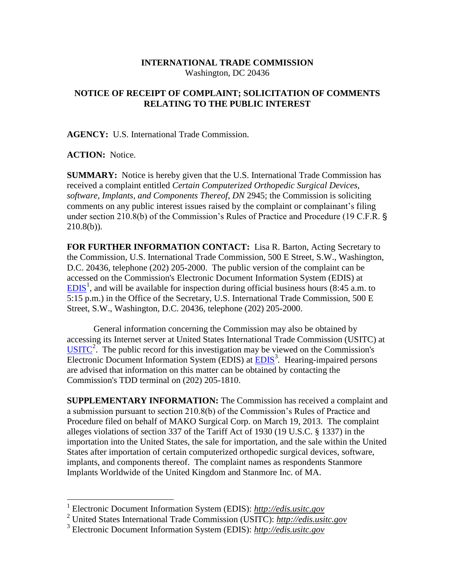## **INTERNATIONAL TRADE COMMISSION** Washington, DC 20436

## **NOTICE OF RECEIPT OF COMPLAINT; SOLICITATION OF COMMENTS RELATING TO THE PUBLIC INTEREST**

**AGENCY:** U.S. International Trade Commission.

## **ACTION:** Notice.

**SUMMARY:** Notice is hereby given that the U.S. International Trade Commission has received a complaint entitled *Certain Computerized Orthopedic Surgical Devices, software, Implants, and Components Thereof*, *DN* 2945; the Commission is soliciting comments on any public interest issues raised by the complaint or complainant's filing under section 210.8(b) of the Commission's Rules of Practice and Procedure (19 C.F.R. '  $210.8(b)$ ).

**FOR FURTHER INFORMATION CONTACT:** Lisa R. Barton, Acting Secretary to the Commission, U.S. International Trade Commission, 500 E Street, S.W., Washington, D.C. 20436, telephone (202) 205-2000. The public version of the complaint can be accessed on the Commission's Electronic Document Information System (EDIS) at  $EDIS<sup>1</sup>$  $EDIS<sup>1</sup>$ , and will be available for inspection during official business hours (8:45 a.m. to 5:15 p.m.) in the Office of the Secretary, U.S. International Trade Commission, 500 E Street, S.W., Washington, D.C. 20436, telephone (202) 205-2000.

General information concerning the Commission may also be obtained by accessing its Internet server at United States International Trade Commission (USITC) at  $\overline{USTTC}^2$ . The public record for this investigation may be viewed on the Commission's Electronic Document Information System (EDIS) at **EDIS**<sup>3</sup>. Hearing-impaired persons are advised that information on this matter can be obtained by contacting the Commission's TDD terminal on (202) 205-1810.

**SUPPLEMENTARY INFORMATION:** The Commission has received a complaint and a submission pursuant to section 210.8(b) of the Commission's Rules of Practice and Procedure filed on behalf of MAKO Surgical Corp. on March 19, 2013. The complaint alleges violations of section 337 of the Tariff Act of 1930 (19 U.S.C. § 1337) in the importation into the United States, the sale for importation, and the sale within the United States after importation of certain computerized orthopedic surgical devices, software, implants, and components thereof. The complaint names as respondents Stanmore Implants Worldwide of the United Kingdom and Stanmore Inc. of MA.

 1 Electronic Document Information System (EDIS): *http://edis.usitc.gov*

<sup>2</sup> United States International Trade Commission (USITC): *http://edis.usitc.gov*

<sup>3</sup> Electronic Document Information System (EDIS): *http://edis.usitc.gov*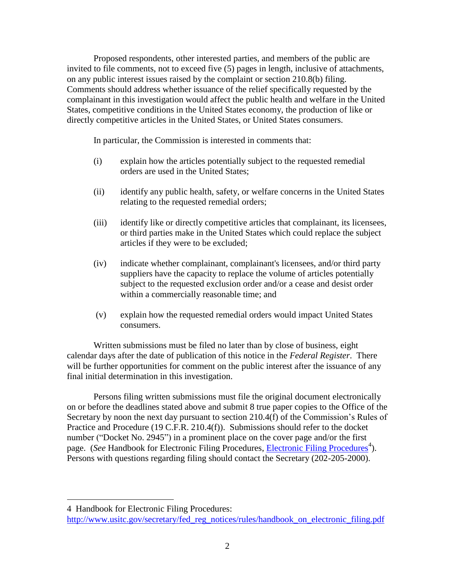Proposed respondents, other interested parties, and members of the public are invited to file comments, not to exceed five (5) pages in length, inclusive of attachments, on any public interest issues raised by the complaint or section 210.8(b) filing. Comments should address whether issuance of the relief specifically requested by the complainant in this investigation would affect the public health and welfare in the United States, competitive conditions in the United States economy, the production of like or directly competitive articles in the United States, or United States consumers.

In particular, the Commission is interested in comments that:

- (i) explain how the articles potentially subject to the requested remedial orders are used in the United States;
- (ii) identify any public health, safety, or welfare concerns in the United States relating to the requested remedial orders;
- (iii) identify like or directly competitive articles that complainant, its licensees, or third parties make in the United States which could replace the subject articles if they were to be excluded;
- (iv) indicate whether complainant, complainant's licensees, and/or third party suppliers have the capacity to replace the volume of articles potentially subject to the requested exclusion order and/or a cease and desist order within a commercially reasonable time; and
- (v) explain how the requested remedial orders would impact United States consumers.

Written submissions must be filed no later than by close of business, eight calendar days after the date of publication of this notice in the *Federal Register*. There will be further opportunities for comment on the public interest after the issuance of any final initial determination in this investigation.

Persons filing written submissions must file the original document electronically on or before the deadlines stated above and submit 8 true paper copies to the Office of the Secretary by noon the next day pursuant to section 210.4(f) of the Commission's Rules of Practice and Procedure (19 C.F.R. 210.4(f)). Submissions should refer to the docket number ("Docket No. 2945") in a prominent place on the cover page and/or the first page. (*See* Handbook for [Electronic Filing Procedures](http://www.usitc.gov/secretary/fed_reg_notices/rules/handbook_on_electronic_filing.pdf), *Electronic Filing Procedures*<sup>4</sup>). Persons with questions regarding filing should contact the Secretary (202-205-2000).

 $\overline{a}$ 

<sup>4</sup> Handbook for Electronic Filing Procedures:

http://www.usitc.gov/secretary/fed\_reg\_notices/rules/handbook\_on\_electronic\_filing.pdf